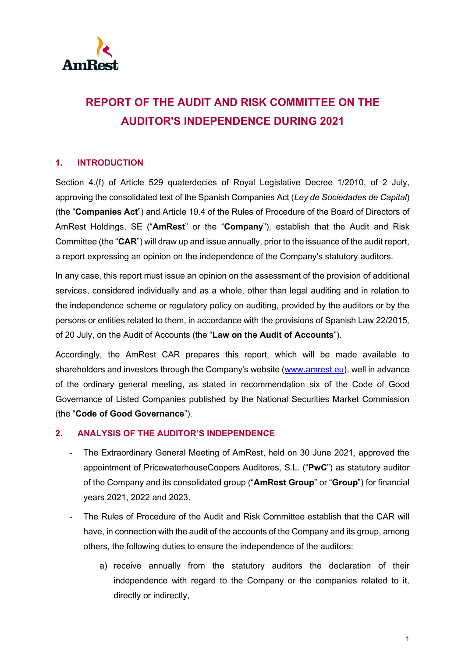

## **REPORT OF THE AUDIT AND RISK COMMITTEE ON THE AUDITOR'S INDEPENDENCE DURING 2021**

## **1. INTRODUCTION**

Section 4.(f) of Article 529 quaterdecies of Royal Legislative Decree 1/2010, of 2 July, approving the consolidated text of the Spanish Companies Act (*Ley de Sociedades de Capital*) (the "**Companies Act**") and Article 19.4 of the Rules of Procedure of the Board of Directors of AmRest Holdings, SE ("**AmRest**" or the "**Company**"), establish that the Audit and Risk Committee (the "**CAR**") will draw up and issue annually, prior to the issuance of the audit report, a report expressing an opinion on the independence of the Company's statutory auditors.

In any case, this report must issue an opinion on the assessment of the provision of additional services, considered individually and as a whole, other than legal auditing and in relation to the independence scheme or regulatory policy on auditing, provided by the auditors or by the persons or entities related to them, in accordance with the provisions of Spanish Law 22/2015, of 20 July, on the Audit of Accounts (the "**Law on the Audit of Accounts**").

Accordingly, the AmRest CAR prepares this report, which will be made available to shareholders and investors through the Company's website [\(www.amrest.eu\)](http://www.amrest.eu/), well in advance of the ordinary general meeting, as stated in recommendation six of the Code of Good Governance of Listed Companies published by the National Securities Market Commission (the "**Code of Good Governance**").

## **2. ANALYSIS OF THE AUDITOR'S INDEPENDENCE**

- The Extraordinary General Meeting of AmRest, held on 30 June 2021, approved the appointment of PricewaterhouseCoopers Auditores, S.L. ("**PwC**") as statutory auditor of the Company and its consolidated group ("**AmRest Group**" or "**Group**") for financial years 2021, 2022 and 2023.
- The Rules of Procedure of the Audit and Risk Committee establish that the CAR will have, in connection with the audit of the accounts of the Company and its group, among others, the following duties to ensure the independence of the auditors:
	- a) receive annually from the statutory auditors the declaration of their independence with regard to the Company or the companies related to it, directly or indirectly,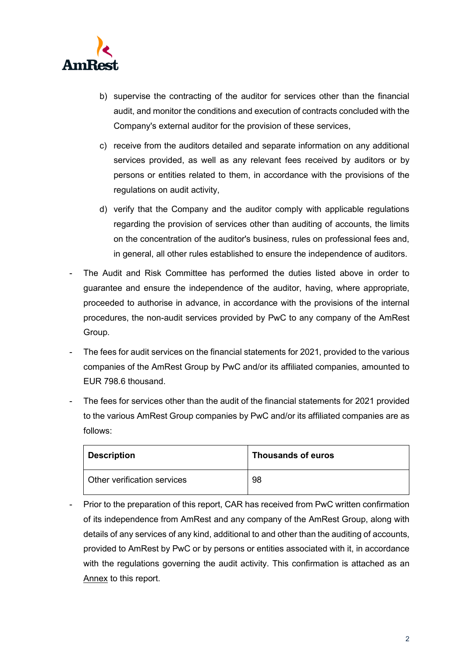

- b) supervise the contracting of the auditor for services other than the financial audit, and monitor the conditions and execution of contracts concluded with the Company's external auditor for the provision of these services,
- c) receive from the auditors detailed and separate information on any additional services provided, as well as any relevant fees received by auditors or by persons or entities related to them, in accordance with the provisions of the regulations on audit activity,
- d) verify that the Company and the auditor comply with applicable regulations regarding the provision of services other than auditing of accounts, the limits on the concentration of the auditor's business, rules on professional fees and, in general, all other rules established to ensure the independence of auditors.
- The Audit and Risk Committee has performed the duties listed above in order to guarantee and ensure the independence of the auditor, having, where appropriate, proceeded to authorise in advance, in accordance with the provisions of the internal procedures, the non-audit services provided by PwC to any company of the AmRest Group.
- The fees for audit services on the financial statements for 2021, provided to the various companies of the AmRest Group by PwC and/or its affiliated companies, amounted to EUR 798.6 thousand.
- The fees for services other than the audit of the financial statements for 2021 provided to the various AmRest Group companies by PwC and/or its affiliated companies are as follows:

| <b>Description</b>          | <b>Thousands of euros</b> |
|-----------------------------|---------------------------|
| Other verification services | 98                        |

- Prior to the preparation of this report, CAR has received from PwC written confirmation of its independence from AmRest and any company of the AmRest Group, along with details of any services of any kind, additional to and other than the auditing of accounts, provided to AmRest by PwC or by persons or entities associated with it, in accordance with the regulations governing the audit activity. This confirmation is attached as an Annex to this report.